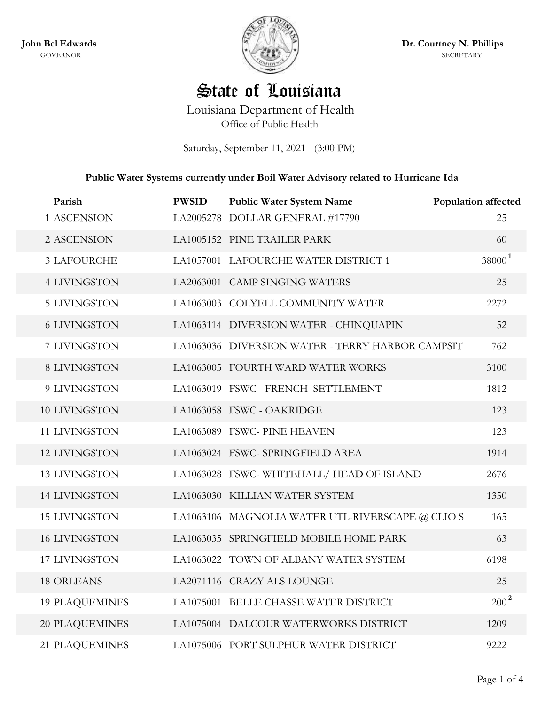**John Bel Edwards** GOVERNOR



**Dr. Courtney N. Phillips** SECRETARY

## State of Louisiana

Louisiana Department of Health Office of Public Health

Saturday, September 11, 2021 (3:00 PM)

## **Public Water Systems currently under Boil Water Advisory related to Hurricane Ida**

| Parish                | <b>PWSID</b> | <b>Public Water System Name</b>                  | <b>Population affected</b> |
|-----------------------|--------------|--------------------------------------------------|----------------------------|
| 1 ASCENSION           |              | LA2005278 DOLLAR GENERAL #17790                  | 25                         |
| 2 ASCENSION           |              | LA1005152 PINE TRAILER PARK                      | 60                         |
| <b>3 LAFOURCHE</b>    |              | LA1057001 LAFOURCHE WATER DISTRICT 1             | $38000^1$                  |
| <b>4 LIVINGSTON</b>   |              | LA2063001 CAMP SINGING WATERS                    | 25                         |
| <b>5 LIVINGSTON</b>   |              | LA1063003 COLYELL COMMUNITY WATER                | 2272                       |
| <b>6 LIVINGSTON</b>   |              | LA1063114 DIVERSION WATER - CHINQUAPIN           | 52                         |
| 7 LIVINGSTON          |              | LA1063036 DIVERSION WATER - TERRY HARBOR CAMPSIT | 762                        |
| <b>8 LIVINGSTON</b>   |              | LA1063005 FOURTH WARD WATER WORKS                | 3100                       |
| 9 LIVINGSTON          |              | LA1063019 FSWC - FRENCH SETTLEMENT               | 1812                       |
| 10 LIVINGSTON         |              | LA1063058 FSWC - OAKRIDGE                        | 123                        |
| 11 LIVINGSTON         |              | LA1063089 FSWC-PINE HEAVEN                       | 123                        |
| <b>12 LIVINGSTON</b>  |              | LA1063024 FSWC-SPRINGFIELD AREA                  | 1914                       |
| <b>13 LIVINGSTON</b>  |              | LA1063028 FSWC-WHITEHALL/HEAD OF ISLAND          | 2676                       |
| <b>14 LIVINGSTON</b>  |              | LA1063030 KILLIAN WATER SYSTEM                   | 1350                       |
| <b>15 LIVINGSTON</b>  |              | LA1063106 MAGNOLIA WATER UTL-RIVERSCAPE @ CLIO S | 165                        |
| <b>16 LIVINGSTON</b>  |              | LA1063035 SPRINGFIELD MOBILE HOME PARK           | 63                         |
| 17 LIVINGSTON         |              | LA1063022 TOWN OF ALBANY WATER SYSTEM            | 6198                       |
| <b>18 ORLEANS</b>     |              | LA2071116 CRAZY ALS LOUNGE                       | 25                         |
| <b>19 PLAQUEMINES</b> |              | LA1075001 BELLE CHASSE WATER DISTRICT            | $200^2$                    |
| <b>20 PLAQUEMINES</b> |              | LA1075004 DALCOUR WATERWORKS DISTRICT            | 1209                       |
| 21 PLAQUEMINES        |              | LA1075006 PORT SULPHUR WATER DISTRICT            | 9222                       |
|                       |              |                                                  |                            |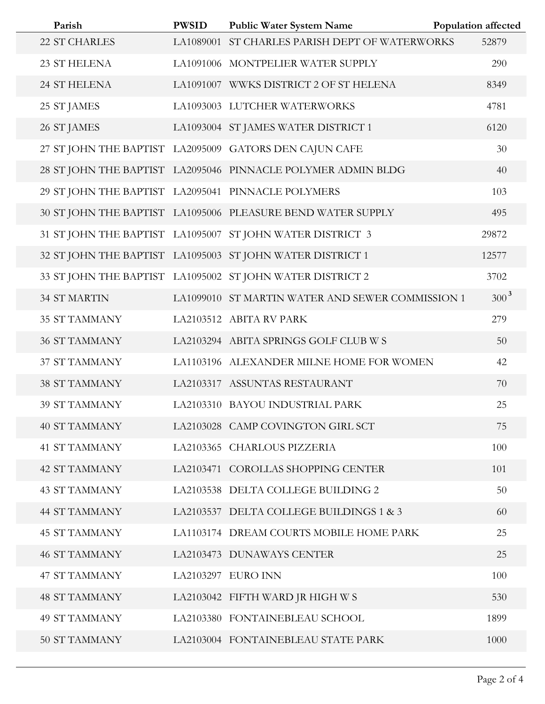| Parish                                             | <b>PWSID</b> | <b>Public Water System Name</b>                              | <b>Population affected</b> |
|----------------------------------------------------|--------------|--------------------------------------------------------------|----------------------------|
| 22 ST CHARLES                                      |              | LA1089001 ST CHARLES PARISH DEPT OF WATERWORKS               | 52879                      |
| 23 ST HELENA                                       |              | LA1091006 MONTPELIER WATER SUPPLY                            | 290                        |
| 24 ST HELENA                                       |              | LA1091007 WWKS DISTRICT 2 OF ST HELENA                       | 8349                       |
| 25 ST JAMES                                        |              | LA1093003 LUTCHER WATERWORKS                                 | 4781                       |
| 26 ST JAMES                                        |              | LA1093004 ST JAMES WATER DISTRICT 1                          | 6120                       |
|                                                    |              | 27 ST JOHN THE BAPTIST LA2095009 GATORS DEN CAJUN CAFE       | 30                         |
|                                                    |              | 28 ST JOHN THE BAPTIST LA2095046 PINNACLE POLYMER ADMIN BLDG | 40                         |
| 29 ST JOHN THE BAPTIST LA2095041 PINNACLE POLYMERS |              |                                                              | 103                        |
|                                                    |              | 30 ST JOHN THE BAPTIST LA1095006 PLEASURE BEND WATER SUPPLY  | 495                        |
|                                                    |              | 31 ST JOHN THE BAPTIST LA1095007 ST JOHN WATER DISTRICT 3    | 29872                      |
|                                                    |              | 32 ST JOHN THE BAPTIST LA1095003 ST JOHN WATER DISTRICT 1    | 12577                      |
|                                                    |              | 33 ST JOHN THE BAPTIST LA1095002 ST JOHN WATER DISTRICT 2    | 3702                       |
| <b>34 ST MARTIN</b>                                |              | LA1099010 ST MARTIN WATER AND SEWER COMMISSION 1             | $300^3$                    |
| <b>35 ST TAMMANY</b>                               |              | LA2103512 ABITA RV PARK                                      | 279                        |
| <b>36 ST TAMMANY</b>                               |              | LA2103294 ABITA SPRINGS GOLF CLUB W S                        | 50                         |
| 37 ST TAMMANY                                      |              | LA1103196 ALEXANDER MILNE HOME FOR WOMEN                     | 42                         |
| <b>38 ST TAMMANY</b>                               |              | LA2103317 ASSUNTAS RESTAURANT                                | 70                         |
| <b>39 ST TAMMANY</b>                               |              | LA2103310 BAYOU INDUSTRIAL PARK                              | 25                         |
| <b>40 ST TAMMANY</b>                               |              | LA2103028 CAMP COVINGTON GIRL SCT                            | 75                         |
| <b>41 ST TAMMANY</b>                               |              | LA2103365 CHARLOUS PIZZERIA                                  | 100                        |
| <b>42 ST TAMMANY</b>                               |              | LA2103471 COROLLAS SHOPPING CENTER                           | 101                        |
| <b>43 ST TAMMANY</b>                               |              | LA2103538 DELTA COLLEGE BUILDING 2                           | 50                         |
| <b>44 ST TAMMANY</b>                               |              | LA2103537 DELTA COLLEGE BUILDINGS 1 & 3                      | 60                         |
| <b>45 ST TAMMANY</b>                               |              | LA1103174 DREAM COURTS MOBILE HOME PARK                      | 25                         |
| <b>46 ST TAMMANY</b>                               |              | LA2103473 DUNAWAYS CENTER                                    | 25                         |
| <b>47 ST TAMMANY</b>                               |              | LA2103297 EURO INN                                           | 100                        |
| <b>48 ST TAMMANY</b>                               |              | LA2103042 FIFTH WARD JR HIGH W S                             | 530                        |
| <b>49 ST TAMMANY</b>                               |              | LA2103380 FONTAINEBLEAU SCHOOL                               | 1899                       |
| <b>50 ST TAMMANY</b>                               |              | LA2103004 FONTAINEBLEAU STATE PARK                           | 1000                       |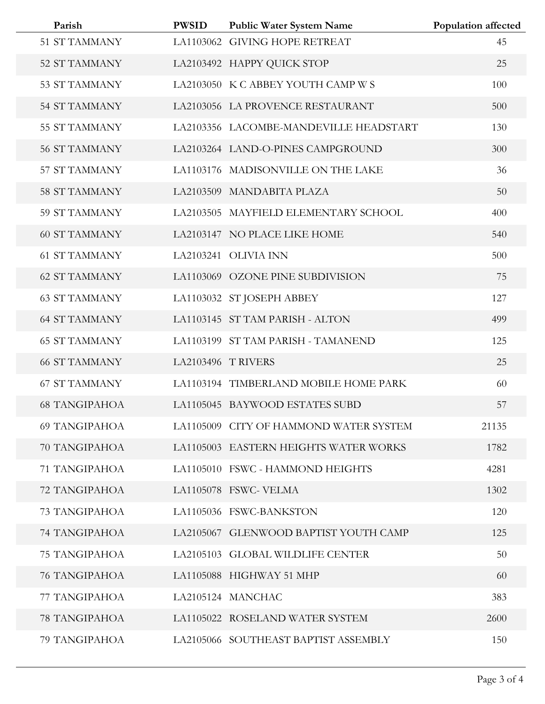| Parish<br>51 ST TAMMANY | <b>PWSID</b>      | <b>Public Water System Name</b><br>LA1103062 GIVING HOPE RETREAT | Population affected<br>45 |
|-------------------------|-------------------|------------------------------------------------------------------|---------------------------|
| 52 ST TAMMANY           |                   | LA2103492 HAPPY QUICK STOP                                       | 25                        |
| 53 ST TAMMANY           |                   | LA2103050 K C ABBEY YOUTH CAMP W S                               | 100                       |
| <b>54 ST TAMMANY</b>    |                   | LA2103056 LA PROVENCE RESTAURANT                                 | 500                       |
| 55 ST TAMMANY           |                   | LA2103356 LACOMBE-MANDEVILLE HEADSTART                           | 130                       |
| <b>56 ST TAMMANY</b>    |                   | LA2103264 LAND-O-PINES CAMPGROUND                                | 300                       |
| 57 ST TAMMANY           |                   | LA1103176 MADISONVILLE ON THE LAKE                               | 36                        |
| <b>58 ST TAMMANY</b>    |                   | LA2103509 MANDABITA PLAZA                                        | 50                        |
| 59 ST TAMMANY           |                   | LA2103505 MAYFIELD ELEMENTARY SCHOOL                             | 400                       |
| <b>60 ST TAMMANY</b>    |                   | LA2103147 NO PLACE LIKE HOME                                     | 540                       |
| <b>61 ST TAMMANY</b>    |                   | LA2103241 OLIVIA INN                                             | 500                       |
| <b>62 ST TAMMANY</b>    |                   | LA1103069 OZONE PINE SUBDIVISION                                 | 75                        |
| <b>63 ST TAMMANY</b>    |                   | LA1103032 ST JOSEPH ABBEY                                        | 127                       |
| <b>64 ST TAMMANY</b>    |                   | LA1103145 ST TAM PARISH - ALTON                                  | 499                       |
| <b>65 ST TAMMANY</b>    |                   | LA1103199 ST TAM PARISH - TAMANEND                               | 125                       |
| <b>66 ST TAMMANY</b>    | LA2103496 TRIVERS |                                                                  | 25                        |
| <b>67 ST TAMMANY</b>    |                   | LA1103194 TIMBERLAND MOBILE HOME PARK                            | 60                        |
| <b>68 TANGIPAHOA</b>    |                   | LA1105045 BAYWOOD ESTATES SUBD                                   | 57                        |
| <b>69 TANGIPAHOA</b>    |                   | LA1105009 CITY OF HAMMOND WATER SYSTEM                           | 21135                     |
| 70 TANGIPAHOA           |                   | LA1105003 EASTERN HEIGHTS WATER WORKS                            | 1782                      |
| 71 TANGIPAHOA           |                   | LA1105010 FSWC - HAMMOND HEIGHTS                                 | 4281                      |
| 72 TANGIPAHOA           |                   | LA1105078 FSWC-VELMA                                             | 1302                      |
| 73 TANGIPAHOA           |                   | LA1105036 FSWC-BANKSTON                                          | 120                       |
| 74 TANGIPAHOA           |                   | LA2105067 GLENWOOD BAPTIST YOUTH CAMP                            | 125                       |
| <b>75 TANGIPAHOA</b>    |                   | LA2105103 GLOBAL WILDLIFE CENTER                                 | 50                        |
| 76 TANGIPAHOA           |                   | LA1105088 HIGHWAY 51 MHP                                         | 60                        |
| 77 TANGIPAHOA           |                   | LA2105124 MANCHAC                                                | 383                       |
| <b>78 TANGIPAHOA</b>    |                   | LA1105022 ROSELAND WATER SYSTEM                                  | 2600                      |
| 79 TANGIPAHOA           |                   | LA2105066 SOUTHEAST BAPTIST ASSEMBLY                             | 150                       |